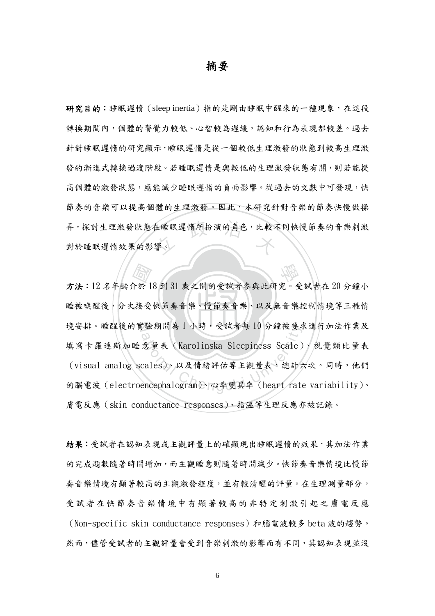## 摘要

弄,探討生理激發狀態在睡眠遲惰所扮演的角色,比較不同快慢節奏的音樂刺激 研究目的:睡眠遲惰(sleep inertia)指的是剛由睡眠中醒來的一種現象,在這段 轉換期間內,個體的警覺力較低、心智較為遲緩,認知和行為表現都較差。過去 針對睡眠遲惰的研究顯示,睡眠遲惰是從一個較低生理激發的狀態到較高生理激 發的漸進式轉換過渡階段。若睡眠遲惰是與較低的生理激發狀態有關,則若能提 高個體的激發狀態,應能減少睡眠遲惰的負面影響。從過去的文獻中可發現,快 節奏的音樂可以提高個體的生理激發。因此,本研究針對音樂的節奏快慢做操 對於睡眠遲惰效果的影響。

睡被唤醒後,分次接受快節奏音樂、慢節奏音樂、以及無音樂控制情境等三種情 <br>介於 18 到 31 歲之間的受試者參與此研究。受<br>、接受快節奏音樂、慢節奏音樂、以及無音樂 境安排。睡醒後的實驗期間為1小時,受試者每10分鐘被要求進行加法作業及 境安排。睡醒後的貫驗期間為1小時,受試者母10分鐘被要求進行加法作業及<br>填寫卡羅連斯加睡意量表(Karolinska Sleepiness Scale)、視覺類比量表<br>(visual analog scales)、以及情緒評估等主觀量表,總計六次。同時,他們<br>的腦電波(electroencephalogram)、心率變異率(heart rate variability)、 方法:12 名年齡介於 18 到 31 歲之間的受試者參與此研究。受試者在 20 分鐘小 填寫卡羅連斯加睡意量表(Karolinska Sleepiness Scale)、視覺類比量表 (visual analog scales)、以及情緒評估等主觀量表,總計六次。同時,他們 膚電反應(skin conductance responses)、指溫等生理反應亦被記錄。

結果:受試者在認知表現或主觀評量上的確顯現出睡眠遲惰的效果,其加法作業 的完成題數隨著時間增加,而主觀睡意則隨著時間減少。快節奏音樂情境比慢節 奏音樂情境有顯著較高的主觀激發程度,並有較清醒的評量。在生理測量部分, 受試者在快節奏音樂情境中有顯著較高的非特定刺激引起之膚電反應 (Non-specific skin conductance responses)和腦電波較多 beta 波的趨勢。 然而,儘管受試者的主觀評量會受到音樂刺激的影響而有不同,其認知表現並沒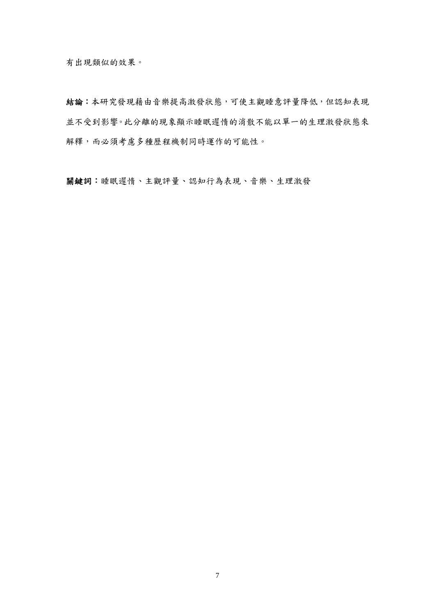有出現類似的效果。

結論:本研究發現藉由音樂提高激發狀態,可使主觀睡意評量降低,但認知表現 並不受到影響。此分離的現象顯示睡眠遲惰的消散不能以單一的生理激發狀態來 解釋,而必須考慮多種歷程機制同時運作的可能性。

關鍵詞:睡眠遲惰、主觀評量、認知行為表現、音樂、生理激發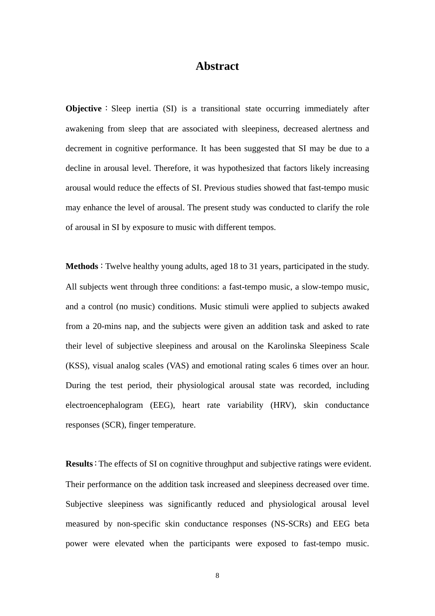## **Abstract**

**Objective**: Sleep inertia (SI) is a transitional state occurring immediately after awakening from sleep that are associated with sleepiness, decreased alertness and decrement in cognitive performance. It has been suggested that SI may be due to a decline in arousal level. Therefore, it was hypothesized that factors likely increasing arousal would reduce the effects of SI. Previous studies showed that fast-tempo music may enhance the level of arousal. The present study was conducted to clarify the role of arousal in SI by exposure to music with different tempos.

**Methods**:Twelve healthy young adults, aged 18 to 31 years, participated in the study. All subjects went through three conditions: a fast-tempo music, a slow-tempo music, and a control (no music) conditions. Music stimuli were applied to subjects awaked from a 20-mins nap, and the subjects were given an addition task and asked to rate their level of subjective sleepiness and arousal on the Karolinska Sleepiness Scale (KSS), visual analog scales (VAS) and emotional rating scales 6 times over an hour. During the test period, their physiological arousal state was recorded, including electroencephalogram (EEG), heart rate variability (HRV), skin conductance responses (SCR), finger temperature.

**Results**:The effects of SI on cognitive throughput and subjective ratings were evident. Their performance on the addition task increased and sleepiness decreased over time. Subjective sleepiness was significantly reduced and physiological arousal level measured by non-specific skin conductance responses (NS-SCRs) and EEG beta power were elevated when the participants were exposed to fast-tempo music.